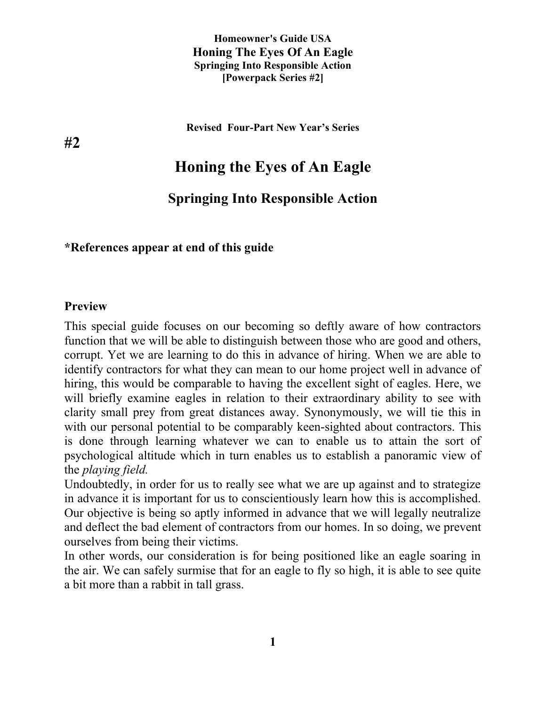**Revised Four-Part New Year's Series**

# **Honing the Eyes of An Eagle**

### **Springing Into Responsible Action**

#### **\*References appear at end of this guide**

#### **Preview**

This special guide focuses on our becoming so deftly aware of how contractors function that we will be able to distinguish between those who are good and others, corrupt. Yet we are learning to do this in advance of hiring. When we are able to identify contractors for what they can mean to our home project well in advance of hiring, this would be comparable to having the excellent sight of eagles. Here, we will briefly examine eagles in relation to their extraordinary ability to see with clarity small prey from great distances away. Synonymously, we will tie this in with our personal potential to be comparably keen-sighted about contractors. This is done through learning whatever we can to enable us to attain the sort of psychological altitude which in turn enables us to establish a panoramic view of the *playing field.*

Undoubtedly, in order for us to really see what we are up against and to strategize in advance it is important for us to conscientiously learn how this is accomplished. Our objective is being so aptly informed in advance that we will legally neutralize and deflect the bad element of contractors from our homes. In so doing, we prevent ourselves from being their victims.

In other words, our consideration is for being positioned like an eagle soaring in the air. We can safely surmise that for an eagle to fly so high, it is able to see quite a bit more than a rabbit in tall grass.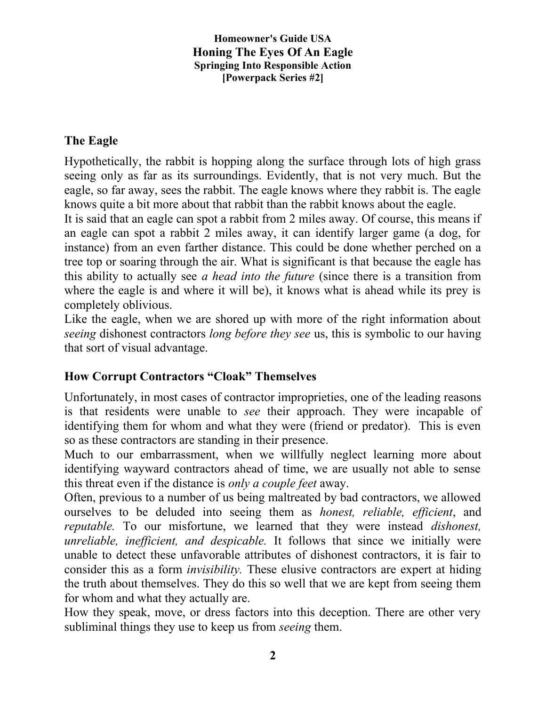### **The Eagle**

Hypothetically, the rabbit is hopping along the surface through lots of high grass seeing only as far as its surroundings. Evidently, that is not very much. But the eagle, so far away, sees the rabbit. The eagle knows where they rabbit is. The eagle knows quite a bit more about that rabbit than the rabbit knows about the eagle.

It is said that an eagle can spot a rabbit from 2 miles away. Of course, this means if an eagle can spot a rabbit 2 miles away, it can identify larger game (a dog, for instance) from an even farther distance. This could be done whether perched on a tree top or soaring through the air. What is significant is that because the eagle has this ability to actually see *a head into the future* (since there is a transition from where the eagle is and where it will be), it knows what is ahead while its prey is completely oblivious.

Like the eagle, when we are shored up with more of the right information about *seeing* dishonest contractors *long before they see* us, this is symbolic to our having that sort of visual advantage.

### **How Corrupt Contractors "Cloak" Themselves**

Unfortunately, in most cases of contractor improprieties, one of the leading reasons is that residents were unable to *see* their approach. They were incapable of identifying them for whom and what they were (friend or predator). This is even so as these contractors are standing in their presence.

Much to our embarrassment, when we willfully neglect learning more about identifying wayward contractors ahead of time, we are usually not able to sense this threat even if the distance is *only a couple feet* away.

Often, previous to a number of us being maltreated by bad contractors, we allowed ourselves to be deluded into seeing them as *honest, reliable, efficient*, and *reputable.* To our misfortune, we learned that they were instead *dishonest, unreliable, inefficient, and despicable.* It follows that since we initially were unable to detect these unfavorable attributes of dishonest contractors, it is fair to consider this as a form *invisibility.* These elusive contractors are expert at hiding the truth about themselves. They do this so well that we are kept from seeing them for whom and what they actually are.

How they speak, move, or dress factors into this deception. There are other very subliminal things they use to keep us from *seeing* them.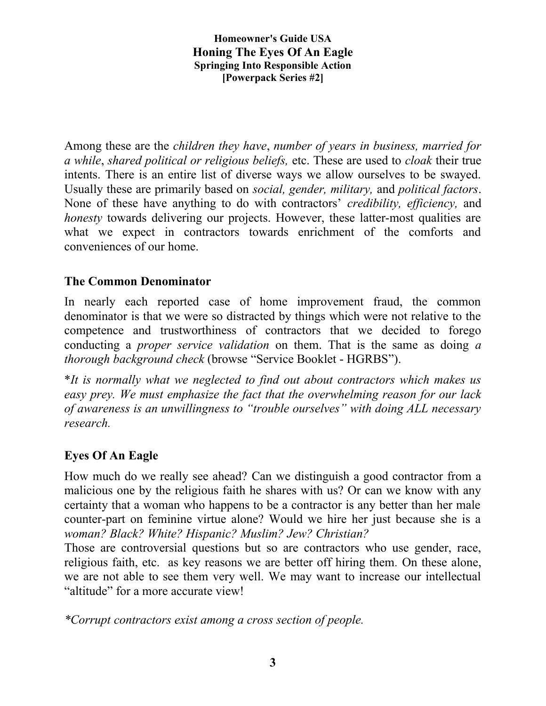Among these are the *children they have*, *number of years in business, married for a while*, *shared political or religious beliefs,* etc. These are used to *cloak* their true intents. There is an entire list of diverse ways we allow ourselves to be swayed. Usually these are primarily based on *social, gender, military,* and *political factors*. None of these have anything to do with contractors' *credibility, efficiency,* and *honesty* towards delivering our projects. However, these latter-most qualities are what we expect in contractors towards enrichment of the comforts and conveniences of our home.

## **The Common Denominator**

In nearly each reported case of home improvement fraud, the common denominator is that we were so distracted by things which were not relative to the competence and trustworthiness of contractors that we decided to forego conducting a *proper service validation* on them. That is the same as doing *a thorough background check* (browse "Service Booklet - HGRBS").

\**It is normally what we neglected to find out about contractors which makes us easy prey. We must emphasize the fact that the overwhelming reason for our lack of awareness is an unwillingness to "trouble ourselves" with doing ALL necessary research.* 

### **Eyes Of An Eagle**

How much do we really see ahead? Can we distinguish a good contractor from a malicious one by the religious faith he shares with us? Or can we know with any certainty that a woman who happens to be a contractor is any better than her male counter-part on feminine virtue alone? Would we hire her just because she is a *woman? Black? White? Hispanic? Muslim? Jew? Christian?*

Those are controversial questions but so are contractors who use gender, race, religious faith, etc. as key reasons we are better off hiring them*.* On these alone, we are not able to see them very well. We may want to increase our intellectual "altitude" for a more accurate view!

*\*Corrupt contractors exist among a cross section of people.*